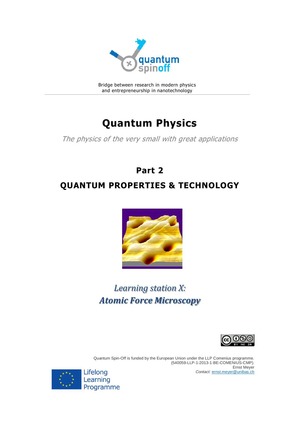

Bridge between research in modern physics and entrepreneurship in nanotechnology

## **Quantum Physics**

The physics of the very small with great applications

# **Part 2 QUANTUM PROPERTIES & TECHNOLOGY**



## *Learning station X: Atomic Force Microscopy*



Quantum Spin-Off is funded by the European Union under the LLP Comenius programme. (540059-LLP-1-2013-1-BE-COMENIUS-CMP). Ernst Meyer *Contact:* [ernst.meyer@unibas.ch](mailto:ernst.meyer@unibas.ch)

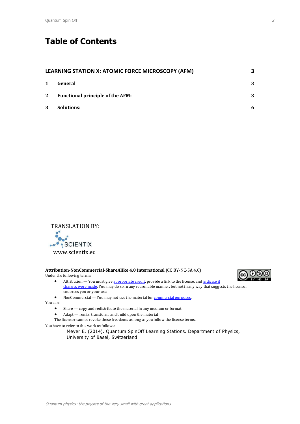## **Table of Contents**

| LEARNING STATION X: ATOMIC FORCE MICROSCOPY (AFM) |                                         |   |
|---------------------------------------------------|-----------------------------------------|---|
| $\mathbf 1$                                       | General                                 | 3 |
| 2                                                 | <b>Functional principle of the AFM:</b> | 3 |
| 3                                                 | Solutions:                              | 6 |



#### **Attribution-NonCommercial-ShareAlike 4.0 International** (CC BY-NC-SA 4.0)

Under the following terms:

- Attribution You must give [appropriate credit,](https://creativecommons.org/licenses/by-nc-sa/4.0/) provide a link to the license, and indicate if [changes were made.](https://creativecommons.org/licenses/by-nc-sa/4.0/) You may do so in any reasonable manner, but not in any way that suggests the licensor endorses you or your use.
- 
- NonCommercial You may not use the material for **commercial purposes**.

You can:

- Share copy and redistribute the material in any medium or format
- Adapt remix, transform, and build upon the material

The licensor cannot revoke these freedoms as long as you follow the license terms.

You have to refer to this work as follows:

Meyer E. (2014). Quantum SpinOff Learning Stations. Department of Physics, University of Basel, Switzerland.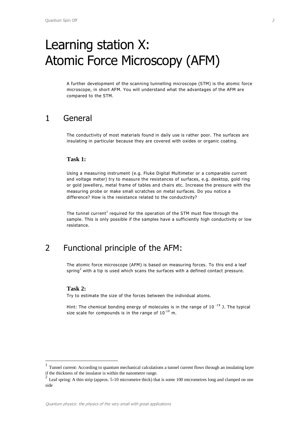# <span id="page-2-0"></span>Learning station X: Atomic Force Microscopy (AFM)

A further development of the scanning tunnelling microscope (STM) is the atomic force microscope, in short AFM. You will understand what the advantages of the AFM are compared to the STM.

### <span id="page-2-1"></span>1 General

The conductivity of most materials found in daily use is rather poor. The surfaces are insulating in particular because they are covered with oxides or organic coating.

#### **Task 1:**

Using a measuring instrument (e.g. Fluke Digital Multimeter or a comparable current and voltage meter) try to measure the resistances of surfaces, e.g. desktop, gold ring or gold jewellery, metal frame of tables and chairs etc. Increase the pressure with the measuring probe or make small scratches on metal surfaces. Do you notice a difference? How is the resistance related to the conductivity?

The tunnel current<sup>1</sup> required for the operation of the STM must flow through the sample. This is only possible if the samples have a sufficiently high conductivity or low resistance.

## <span id="page-2-2"></span>2 Functional principle of the AFM:

The atomic force microscope (AFM) is based on measuring forces. To this end a leaf spring<sup>2</sup> with a tip is used which scans the surfaces with a defined contact pressure.

#### **Task 2:**

 $\overline{\phantom{a}}$ 

Try to estimate the size of the forces between the individual atoms.

Hint: The chemical bonding energy of molecules is in the range of  $10^{-19}$  J. The typical size scale for compounds is in the range of  $10^{-10}$  m.

<sup>1</sup> Tunnel current: According to quantum mechanical calculations a tunnel current flows through an insulating layer if the thickness of the insulator is within the nanometre range.

 $2$  Leaf spring: A thin strip (approx. 5-10 micrometre thick) that is some 100 micrometres long and clamped on one side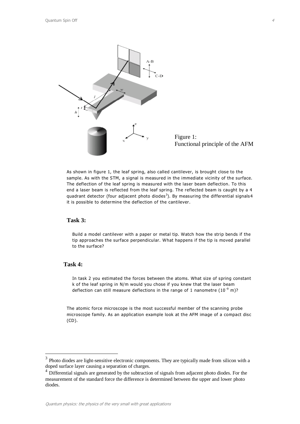

As shown in figure 1, the leaf spring, also called cantilever, is brought close to the sample. As with the STM, a signal is measured in the immediate vicinity of the surface. The deflection of the leaf spring is measured with the laser beam deflection. To this end a laser beam is reflected from the leaf spring. The reflected beam is caught by a 4 quadrant detector (four adjacent photo diodes<sup>3</sup>). By measuring the differential signals4 it is possible to determine the deflection of the cantilever.

#### **Task 3:**

Build a model cantilever with a paper or metal tip. Watch how the strip bends if the tip approaches the surface perpendicular. What happens if the tip is moved parallel to the surface?

#### **Task 4:**

l

In task 2 you estimated the forces between the atoms. What size of spring constant k of the leaf spring in N/m would you chose if you knew that the laser beam deflection can still measure deflections in the range of 1 nanometre  $(10^{-9} \text{ m})$ ?

The atomic force microscope is the most successful member of the scanning probe microscope family. As an application example look at the AFM image of a compact disc (CD).

 $3$  Photo diodes are light-sensitive electronic components. They are typically made from silicon with a doped surface layer causing a separation of charges.

<sup>&</sup>lt;sup>4</sup> Differential signals are generated by the subtraction of signals from adjacent photo diodes. For the measurement of the standard force the difference is determined between the upper and lower photo diodes.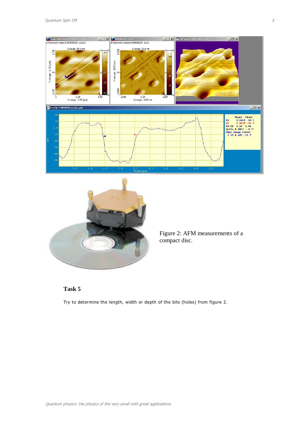



Figure 2: AFM measurements of a compact disc.

#### **Task 5**

Try to determine the length, width or depth of the bits (holes) from figure 2.